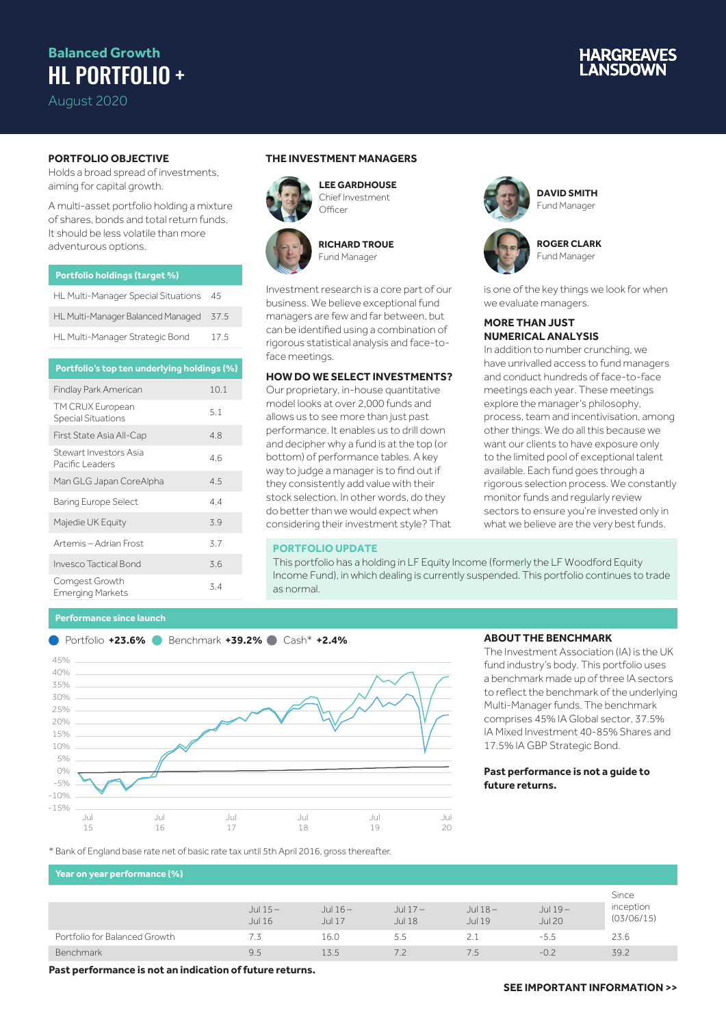## **Balanced Growth** HL PORTFOLIO +

August 2020

# **IARGREAVES**

### **PORTFOLIO OBJECTIVE**

Holds a broad spread of investments, aiming for capital growth.

A multi-asset portfolio holding a mixture of shares, bonds and total return funds. It should be less volatile than more adventurous options.

| <b>Portfolio holdings (target %)</b> |      |
|--------------------------------------|------|
| HL Multi-Manager Special Situations  | -45  |
| HL Multi-Manager Balanced Managed    | 37.5 |
| HL Multi-Manager Strategic Bond      | 17.5 |

| Portfolio's top ten underlying holdings (%)   |      |
|-----------------------------------------------|------|
| Findlay Park American                         | 10.1 |
| TM CRUX European<br><b>Special Situations</b> | 5.1  |
| First State Asia All-Cap                      | 4.8  |
| Stewart Investors Asia<br>Pacific Leaders     | 46   |
| Man GLG Japan CoreAlpha                       | 4.5  |
| <b>Baring Europe Select</b>                   | 4.4  |
| Majedie UK Equity                             | 3.9  |
| Artemis - Adrian Frost                        | 3.7  |
| Invesco Tactical Bond                         | 3.6  |
| Comgest Growth<br>Emerging Markets            | 3.4  |

#### **Performance since launch**



**Officer** 



**LEE GARDHOUSE** Chief Investment



**RICHARD TROUE** Fund Manager

Investment research is a core part of our business. We believe exceptional fund managers are few and far between, but can be identified using a combination of rigorous statistical analysis and face-toface meetings.

#### **HOW DO WE SELECT INVESTMENTS?**

Our proprietary, in-house quantitative model looks at over 2,000 funds and allows us to see more than just past performance. It enables us to drill down and decipher why a fund is at the top (or bottom) of performance tables. A key way to judge a manager is to find out if they consistently add value with their stock selection. In other words, do they do better than we would expect when considering their investment style? That

#### **PORTFOLIO UPDATE**

This portfolio has a holding in LF Equity Income (formerly the LF Woodford Equity Income Fund), in which dealing is currently suspended. This portfolio continues to trade as normal.



**ROGER CLARK** Fund Manager

is one of the key things we look for when we evaluate managers.

#### **MORE THAN JUST NUMERICAL ANALYSIS**

In addition to number crunching, we have unrivalled access to fund managers and conduct hundreds of face-to-face meetings each year. These meetings explore the manager's philosophy, process, team and incentivisation, among other things. We do all this because we want our clients to have exposure only to the limited pool of exceptional talent available. Each fund goes through a rigorous selection process. We constantly monitor funds and regularly review sectors to ensure you're invested only in what we believe are the very best funds.



#### **ABOUT THE BENCHMARK**

The Investment Association (IA) is the UK fund industry's body. This portfolio uses a benchmark made up of three IA sectors to reflect the benchmark of the underlying Multi-Manager funds. The benchmark comprises 45% IA Global sector, 37.5% IA Mixed Investment 40-85% Shares and 17.5% IA GBP Strategic Bond.

#### **Past performance is not a guide to future returns.**

\* Bank of England base rate net of basic rate tax until 5th April 2016, gross thereafter.

#### **Year on year performance (%)**

|                               |                     |                            |                            |                     |                            | Since                   |
|-------------------------------|---------------------|----------------------------|----------------------------|---------------------|----------------------------|-------------------------|
|                               | Jul $15-$<br>Jul 16 | Jul $16-$<br><b>Jul 17</b> | Jul $17-$<br><b>Jul 18</b> | Jul $18-$<br>Jul 19 | Jul $19-$<br><b>Jul 20</b> | inception<br>(03/06/15) |
| Portfolio for Balanced Growth |                     | 16.0                       | 5.5                        | $\angle$ .          | $-5.5$                     | 23.6                    |
| Benchmark                     | 9.5                 | 13.5                       |                            | 7.5                 | $-0.2$                     | 39.2                    |

**Past performance is not an indication of future returns.**

#### **SEE IMPORTANT INFORMATION >>**